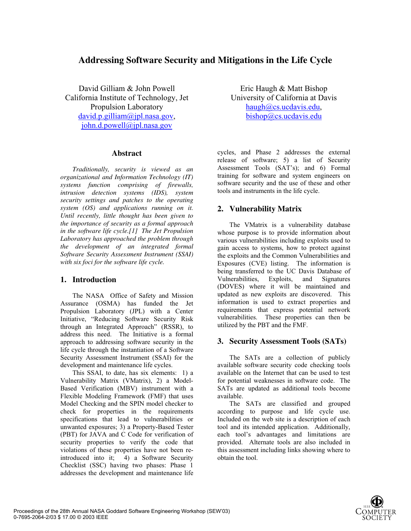# **Addressing Software Security and Mitigations in the Life Cycle**

David Gilliam & John Powell California Institute of Technology, Jet Propulsion Laboratory david.p.gilliam@jpl.nasa.gov, john.d.powell@jpl.nasa.gov

#### **Abstract**

*Traditionally, security is viewed as an organizational and Information Technology (IT) systems function comprising of firewalls, intrusion detection systems (IDS), system security settings and patches to the operating system (OS) and applications running on it. Until recently, little thought has been given to the importance of security as a formal approach in the software life cycle.[1] The Jet Propulsion Laboratory has approached the problem through the development of an integrated formal Software Security Assessment Instrument (SSAI) with six foci for the software life cycle.* 

# **1. Introduction**

The NASA Office of Safety and Mission Assurance (OSMA) has funded the Jet Propulsion Laboratory (JPL) with a Center Initiative, "Reducing Software Security Risk through an Integrated Approach" (RSSR), to address this need. The Initiative is a formal approach to addressing software security in the life cycle through the instantiation of a Software Security Assessment Instrument (SSAI) for the development and maintenance life cycles.

This SSAI, to date, has six elements: 1) a Vulnerability Matrix (VMatrix), 2) a Model-Based Verification (MBV) instrument with a Flexible Modeling Framework (FMF) that uses Model Checking and the SPIN model checker to check for properties in the requirements specifications that lead to vulnerabilities or unwanted exposures; 3) a Property-Based Tester (PBT) for JAVA and C Code for verification of security properties to verify the code that violations of these properties have not been reintroduced into it; 4) a Software Security Checklist (SSC) having two phases: Phase 1 addresses the development and maintenance life

Eric Haugh & Matt Bishop University of California at Davis haugh@cs.ucdavis.edu, bishop@cs.ucdavis.edu

cycles, and Phase 2 addresses the external release of software; 5) a list of Security Assessment Tools (SAT's); and 6) Formal training for software and system engineers on software security and the use of these and other tools and instruments in the life cycle.

# **2. Vulnerability Matrix**

The VMatrix is a vulnerability database whose purpose is to provide information about various vulnerabilities including exploits used to gain access to systems, how to protect against the exploits and the Common Vulnerabilities and Exposures (CVE) listing. The information is being transferred to the UC Davis Database of Vulnerabilities, Exploits, and Signatures (DOVES) where it will be maintained and updated as new exploits are discovered. This information is used to extract properties and requirements that express potential network vulnerabilities. These properties can then be utilized by the PBT and the FMF.

# **3. Security Assessment Tools (SATs)**

The SATs are a collection of publicly available software security code checking tools available on the Internet that can be used to test for potential weaknesses in software code. The SATs are updated as additional tools become available.

The SATs are classified and grouped according to purpose and life cycle use. Included on the web site is a description of each tool and its intended application. Additionally, each tool's advantages and limitations are provided. Alternate tools are also included in this assessment including links showing where to obtain the tool.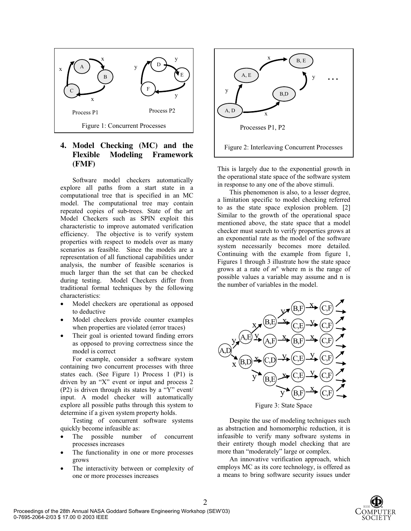

# **4. Model Checking (MC) and the Flexible Modeling Framework (FMF)**

Software model checkers automatically explore all paths from a start state in a computational tree that is specified in an MC model. The computational tree may contain repeated copies of sub-trees. State of the art Model Checkers such as SPIN exploit this characteristic to improve automated verification efficiency. The objective is to verify system properties with respect to models over as many scenarios as feasible. Since the models are a representation of all functional capabilities under analysis, the number of feasible scenarios is much larger than the set that can be checked during testing. Model Checkers differ from traditional formal techniques by the following characteristics:

- Model checkers are operational as opposed to deductive
- Model checkers provide counter examples when properties are violated (error traces)
- Their goal is oriented toward finding errors as opposed to proving correctness since the model is correct

For example, consider a software system containing two concurrent processes with three states each. (See Figure 1) Process 1 (P1) is driven by an "X" event or input and process 2 (P2) is driven through its states by a "Y" event/ input. A model checker will automatically explore all possible paths through this system to determine if a given system property holds.

Testing of concurrent software systems quickly become infeasible as:

- The possible number of concurrent processes increases
- The functionality in one or more processes grows
- The interactivity between or complexity of one or more processes increases



This is largely due to the exponential growth in the operational state space of the software system in response to any one of the above stimuli.

This phenomenon is also, to a lesser degree, a limitation specific to model checking referred to as the state space explosion problem. [2] Similar to the growth of the operational space mentioned above, the state space that a model checker must search to verify properties grows at an exponential rate as the model of the software system necessarily becomes more detailed. Continuing with the example from figure 1, Figures 1 through 3 illustrate how the state space grows at a rate of  $m<sup>n</sup>$  where m is the range of possible values a variable may assume and n is the number of variables in the model.



Despite the use of modeling techniques such as abstraction and homomorphic reduction, it is infeasible to verify many software systems in their entirety though model checking that are more than "moderately" large or complex.

An innovative verification approach, which employs MC as its core technology, is offered as a means to bring software security issues under

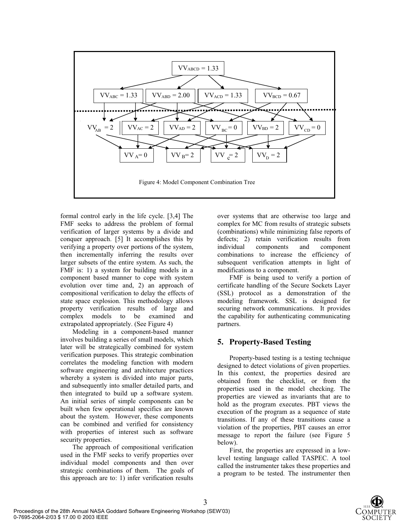

3

formal control early in the life cycle. [3,4] The FMF seeks to address the problem of formal verification of larger systems by a divide and conquer approach. [5] It accomplishes this by verifying a property over portions of the system, then incrementally inferring the results over larger subsets of the entire system. As such, the FMF is: 1) a system for building models in a component based manner to cope with system evolution over time and, 2) an approach of compositional verification to delay the effects of state space explosion. This methodology allows property verification results of large and<br>complex models to be examined and complex models to be examined extrapolated appropriately. (See Figure 4)

Modeling in a component-based manner involves building a series of small models, which later will be strategically combined for system verification purposes. This strategic combination correlates the modeling function with modern software engineering and architecture practices whereby a system is divided into major parts, and subsequently into smaller detailed parts, and then integrated to build up a software system. An initial series of simple components can be built when few operational specifics are known about the system. However, these components can be combined and verified for consistency with properties of interest such as software security properties.

The approach of compositional verification used in the FMF seeks to verify properties over individual model components and then over strategic combinations of them. The goals of this approach are to: 1) infer verification results

over systems that are otherwise too large and complex for MC from results of strategic subsets (combinations) while minimizing false reports of defects; 2) retain verification results from<br>individual components and component components and component combinations to increase the efficiency of subsequent verification attempts in light of modifications to a component.

FMF is being used to verify a portion of certificate handling of the Secure Sockets Layer (SSL) protocol as a demonstration of the modeling framework. SSL is designed for securing network communications. It provides the capability for authenticating communicating partners.

#### **5. Property-Based Testing**

Property-based testing is a testing technique designed to detect violations of given properties. In this context, the properties desired are obtained from the checklist, or from the properties used in the model checking. The properties are viewed as invariants that are to hold as the program executes. PBT views the execution of the program as a sequence of state transitions. If any of these transitions cause a violation of the properties, PBT causes an error message to report the failure (see Figure 5 below).

First, the properties are expressed in a lowlevel testing language called TASPEC. A tool called the instrumenter takes these properties and a program to be tested. The instrumenter then

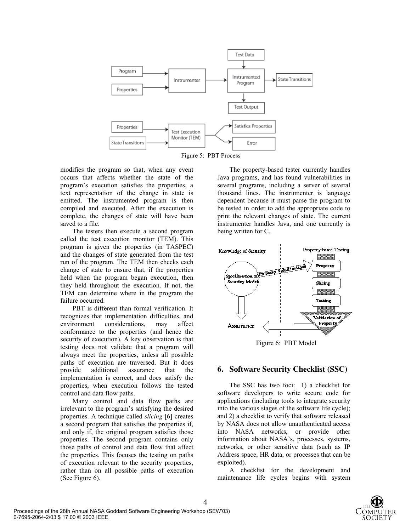

Figure 5: PBT Process

modifies the program so that, when any event occurs that affects whether the state of the program's execution satisfies the properties, a text representation of the change in state is emitted. The instrumented program is then compiled and executed. After the execution is complete, the changes of state will have been saved to a file.

The testers then execute a second program called the test execution monitor (TEM). This program is given the properties (in TASPEC) and the changes of state generated from the test run of the program. The TEM then checks each change of state to ensure that, if the properties held when the program began execution, then they held throughout the execution. If not, the TEM can determine where in the program the failure occurred.

PBT is different than formal verification. It recognizes that implementation difficulties, and environment considerations, may affect conformance to the properties (and hence the security of execution). A key observation is that testing does not validate that a program will always meet the properties, unless all possible paths of execution are traversed. But it does<br>provide additional assurance that the additional assurance that the implementation is correct, and does satisfy the properties, when execution follows the tested control and data flow paths.

Many control and data flow paths are irrelevant to the program's satisfying the desired properties. A technique called *slicing* [6] creates a second program that satisfies the properties if, and only if, the original program satisfies those properties. The second program contains only those paths of control and data flow that affect the properties. This focuses the testing on paths of execution relevant to the security properties, rather than on all possible paths of execution (See Figure 6).

The property-based tester currently handles Java programs, and has found vulnerabilities in several programs, including a server of several thousand lines. The instrumenter is language dependent because it must parse the program to be tested in order to add the appropriate code to print the relevant changes of state. The current instrumenter handles Java, and one currently is being written for C.



Figure 6: PBT Model

# **6. Software Security Checklist (SSC)**

The SSC has two foci: 1) a checklist for software developers to write secure code for applications (including tools to integrate security into the various stages of the software life cycle); and 2) a checklist to verify that software released by NASA does not allow unauthenticated access into NASA networks, or provide other information about NASA's, processes, systems, networks, or other sensitive data (such as IP Address space, HR data, or processes that can be exploited).

A checklist for the development and maintenance life cycles begins with system

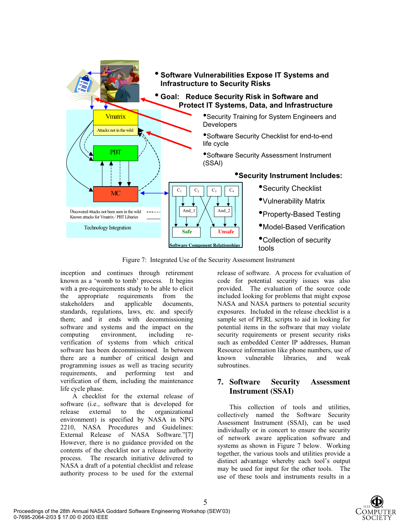

Figure 7: Integrated Use of the Security Assessment Instrument

5

inception and continues through retirement known as a 'womb to tomb' process. It begins with a pre-requirements study to be able to elicit<br>the appropriate requirements from the the appropriate requirements from the stakeholders and applicable documents, standards, regulations, laws, etc. and specify them; and it ends with decommissioning software and systems and the impact on the computing environment, including reverification of systems from which critical software has been decommissioned. In between there are a number of critical design and programming issues as well as tracing security requirements, and performing test and verification of them, including the maintenance life cycle phase.

A checklist for the external release of software (i.e., software that is developed for release external to the organizational environment) is specified by NASA in NPG 2210, NASA Procedures and Guidelines: External Release of NASA Software."[7] However, there is no guidance provided on the contents of the checklist nor a release authority process. The research initiative delivered to NASA a draft of a potential checklist and release authority process to be used for the external

release of software. A process for evaluation of code for potential security issues was also provided. The evaluation of the source code included looking for problems that might expose NASA and NASA partners to potential security exposures. Included in the release checklist is a sample set of PERL scripts to aid in looking for potential items in the software that may violate security requirements or present security risks such as embedded Center IP addresses, Human Resource information like phone numbers, use of<br>known vulnerable libraries, and weak vulnerable libraries, and weak subroutines.

# **7. Software Security Assessment Instrument (SSAI)**

This collection of tools and utilities, collectively named the Software Security Assessment Instrument (SSAI), can be used individually or in concert to ensure the security of network aware application software and systems as shown in Figure 7 below. Working together, the various tools and utilities provide a distinct advantage whereby each tool's output may be used for input for the other tools. The use of these tools and instruments results in a